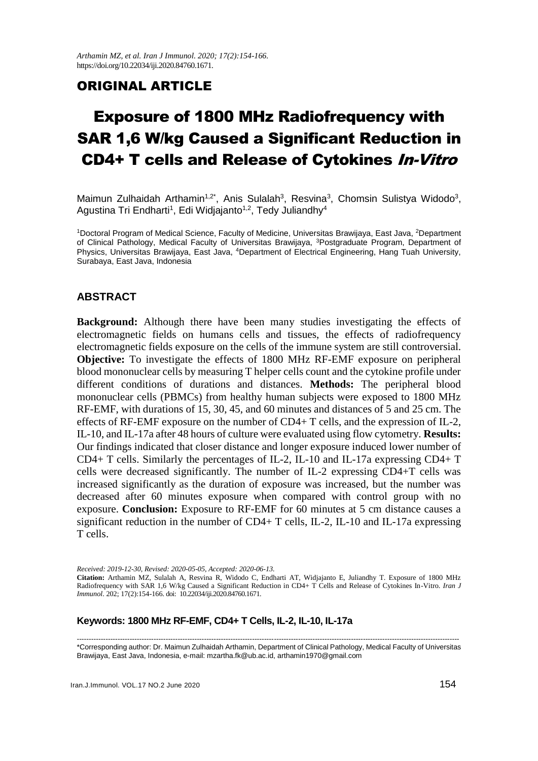*Arthamin MZ, et al. Iran J Immunol. 2020; 17(2):154-166.* https://doi.org/10.22034/iji.2020.84760.1671.

# ORIGINAL ARTICLE

# Exposure of 1800 MHz Radiofrequency with SAR 1,6 W/kg Caused a Significant Reduction in CD4+ T cells and Release of Cytokines In-Vitro

Maimun Zulhaidah Arthamin<sup>1,2\*</sup>, Anis Sulalah<sup>3</sup>, Resvina<sup>3</sup>, Chomsin Sulistya Widodo<sup>3</sup>, Agustina Tri Endharti<sup>1</sup>, Edi Widjajanto<sup>1,2</sup>, Tedy Juliandhy<sup>4</sup>

<sup>1</sup>Doctoral Program of Medical Science, Faculty of Medicine, Universitas Brawijaya, East Java, <sup>2</sup>Department of Clinical Pathology, Medical Faculty of Universitas Brawijaya, <sup>3</sup>Postgraduate Program, Department of Physics, Universitas Brawijaya, East Java, <sup>4</sup>Department of Electrical Engineering, Hang Tuah University, Surabaya, East Java, Indonesia

## **ABSTRACT**

**Background:** Although there have been many studies investigating the effects of electromagnetic fields on humans cells and tissues, the effects of radiofrequency electromagnetic fields exposure on the cells of the immune system are still controversial. **Objective:** To investigate the effects of 1800 MHz RF-EMF exposure on peripheral blood mononuclear cells by measuring T helper cells count and the cytokine profile under different conditions of durations and distances. **Methods:** The peripheral blood mononuclear cells (PBMCs) from healthy human subjects were exposed to 1800 MHz RF-EMF, with durations of 15, 30, 45, and 60 minutes and distances of 5 and 25 cm. The effects of RF-EMF exposure on the number of CD4+ T cells, and the expression of IL-2, IL-10, and IL-17a after 48 hours of culture were evaluated using flow cytometry. **Results:** Our findings indicated that closer distance and longer exposure induced lower number of CD4+ T cells. Similarly the percentages of IL-2, IL-10 and IL-17a expressing CD4+ T cells were decreased significantly. The number of IL-2 expressing CD4+T cells was increased significantly as the duration of exposure was increased, but the number was decreased after 60 minutes exposure when compared with control group with no exposure. **Conclusion:** Exposure to RF-EMF for 60 minutes at 5 cm distance causes a significant reduction in the number of CD4+ T cells, IL-2, IL-10 and IL-17a expressing T cells.

*Received: 2019-12-30, Revised: 2020-05-05, Accepted: 2020-06-13.*

**Citation:** Arthamin MZ, Sulalah A, Resvina R, Widodo C, Endharti AT, Widjajanto E, Juliandhy T. Exposure of 1800 MHz Radiofrequency with SAR 1,6 W/kg Caused a Significant Reduction in CD4+ T Cells and Release of Cytokines In-Vitro. *Iran J Immunol*. 202; 17(2):154-166. doi: 10.22034/iji.2020.84760.1671.

### **Keywords: 1800 MHz RF-EMF, CD4+ T Cells, IL-2, IL-10, IL-17a**

--------------------------------------------------------------------------------------------------------------------------------------------------------------- \*Corresponding author: Dr. Maimun Zulhaidah Arthamin, Department of Clinical Pathology, Medical Faculty of Universitas Brawijaya, East Java, Indonesia, e-mail: mzartha.fk@ub.ac.id, arthamin1970@gmail.com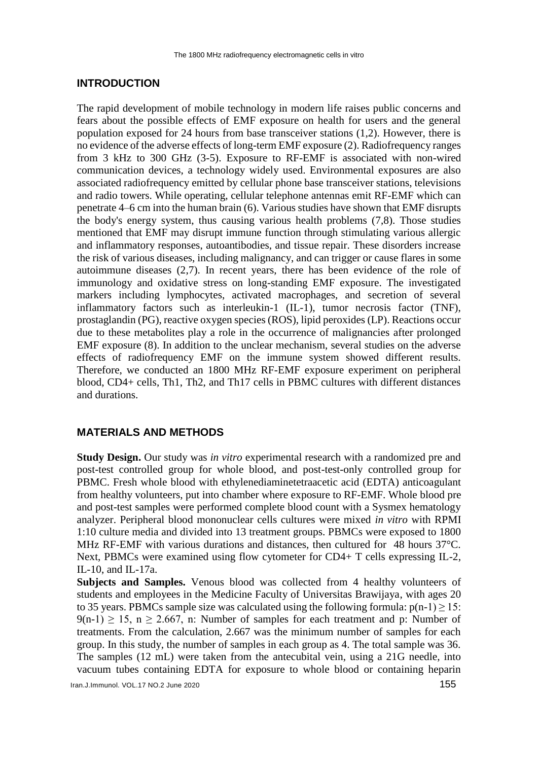## **INTRODUCTION**

The rapid development of mobile technology in modern life raises public concerns and fears about the possible effects of EMF exposure on health for users and the general population exposed for 24 hours from base transceiver stations (1,2). However, there is no evidence of the adverse effects of long-term EMF exposure (2). Radiofrequency ranges from 3 kHz to 300 GHz (3-5). Exposure to RF-EMF is associated with non-wired communication devices, a technology widely used. Environmental exposures are also associated radiofrequency emitted by cellular phone base transceiver stations, televisions and radio towers. While operating, cellular telephone antennas emit RF-EMF which can penetrate 4–6 cm into the human brain (6). Various studies have shown that EMF disrupts the body's energy system, thus causing various health problems (7,8). Those studies mentioned that EMF may disrupt immune function through stimulating various allergic and inflammatory responses, autoantibodies, and tissue repair. These disorders increase the risk of various diseases, including malignancy, and can trigger or cause flares in some autoimmune diseases (2,7). In recent years, there has been evidence of the role of immunology and oxidative stress on long-standing EMF exposure. The investigated markers including lymphocytes, activated macrophages, and secretion of several inflammatory factors such as interleukin-1 (IL-1), tumor necrosis factor (TNF), prostaglandin (PG), reactive oxygen species (ROS), lipid peroxides (LP). Reactions occur due to these metabolites play a role in the occurrence of malignancies after prolonged EMF exposure (8). In addition to the unclear mechanism, several studies on the adverse effects of radiofrequency EMF on the immune system showed different results. Therefore, we conducted an 1800 MHz RF-EMF exposure experiment on peripheral blood, CD4+ cells, Th1, Th2, and Th17 cells in PBMC cultures with different distances and durations.

## **MATERIALS AND METHODS**

**Study Design.** Our study was *in vitro* experimental research with a randomized pre and post-test controlled group for whole blood, and post-test-only controlled group for PBMC. Fresh whole blood with ethylenediaminetetraacetic acid (EDTA) anticoagulant from healthy volunteers, put into chamber where exposure to RF-EMF. Whole blood pre and post-test samples were performed complete blood count with a Sysmex hematology analyzer. Peripheral blood mononuclear cells cultures were mixed *in vitro* with RPMI 1:10 culture media and divided into 13 treatment groups. PBMCs were exposed to 1800 MHz RF-EMF with various durations and distances, then cultured for 48 hours 37°C. Next, PBMCs were examined using flow cytometer for CD4+ T cells expressing IL-2, IL-10, and IL-17a.

**Subjects and Samples.** Venous blood was collected from 4 healthy volunteers of students and employees in the Medicine Faculty of Universitas Brawijaya, with ages 20 to 35 years. PBMCs sample size was calculated using the following formula:  $p(n-1) \ge 15$ :  $9(n-1) \ge 15$ ,  $n \ge 2.667$ , n: Number of samples for each treatment and p: Number of treatments. From the calculation, 2.667 was the minimum number of samples for each group. In this study, the number of samples in each group as 4. The total sample was 36. The samples (12 mL) were taken from the antecubital vein, using a 21G needle, into vacuum tubes containing EDTA for exposure to whole blood or containing heparin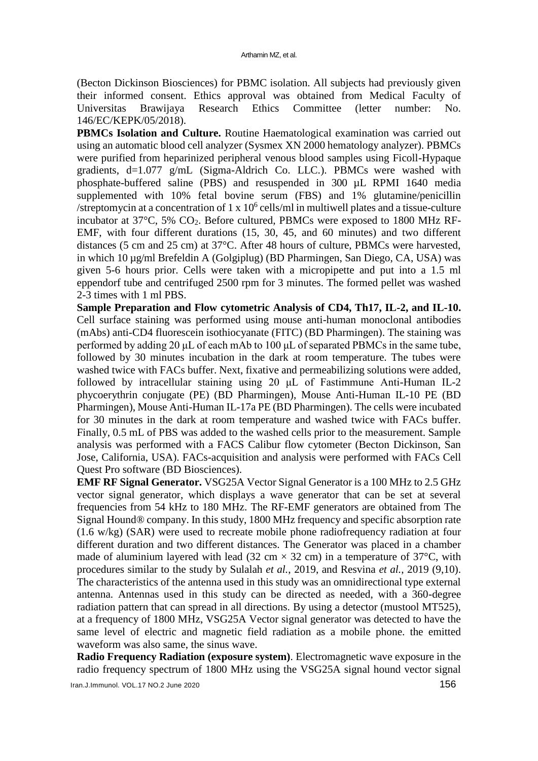(Becton Dickinson Biosciences) for PBMC isolation. All subjects had previously given their informed consent. Ethics approval was obtained from Medical Faculty of Universitas Brawijaya Research Ethics Committee (letter number: No. Universitas Brawijaya Research Ethics Committee (letter number: No. 146/EC/KEPK/05/2018).

**PBMCs Isolation and Culture.** Routine Haematological examination was carried out using an automatic blood cell analyzer (Sysmex XN 2000 hematology analyzer). PBMCs were purified from heparinized peripheral venous blood samples using Ficoll-Hypaque gradients, d=1.077 g/mL (Sigma-Aldrich Co. LLC.). PBMCs were washed with phosphate-buffered saline (PBS) and resuspended in 300 µL RPMI 1640 media supplemented with 10% fetal bovine serum (FBS) and 1% glutamine/penicillin /streptomycin at a concentration of  $1 \times 10^6$  cells/ml in multiwell plates and a tissue-culture incubator at 37°C, 5% CO2. Before cultured, PBMCs were exposed to 1800 MHz RF-EMF, with four different durations (15, 30, 45, and 60 minutes) and two different distances (5 cm and 25 cm) at 37°C. After 48 hours of culture, PBMCs were harvested, in which 10 µg/ml Brefeldin A (Golgiplug) (BD Pharmingen, San Diego, CA, USA) was given 5-6 hours prior. Cells were taken with a micropipette and put into a 1.5 ml eppendorf tube and centrifuged 2500 rpm for 3 minutes. The formed pellet was washed 2-3 times with 1 ml PBS.

**Sample Preparation and Flow cytometric Analysis of CD4, Th17, IL-2, and IL-10.**  Cell surface staining was performed using mouse anti-human monoclonal antibodies (mAbs) anti-CD4 fluorescein isothiocyanate (FITC) (BD Pharmingen). The staining was performed by adding 20 μL of each mAb to 100 μL of separated PBMCs in the same tube, followed by 30 minutes incubation in the dark at room temperature. The tubes were washed twice with FACs buffer. Next, fixative and permeabilizing solutions were added, followed by intracellular staining using 20 μL of Fastimmune Anti-Human IL-2 phycoerythrin conjugate (PE) (BD Pharmingen), Mouse Anti-Human IL-10 PE (BD Pharmingen), Mouse Anti-Human IL-17a PE (BD Pharmingen). The cells were incubated for 30 minutes in the dark at room temperature and washed twice with FACs buffer. Finally, 0.5 mL of PBS was added to the washed cells prior to the measurement. Sample analysis was performed with a FACS Calibur flow cytometer (Becton Dickinson, San Jose, California, USA). FACs-acquisition and analysis were performed with FACs Cell Quest Pro software (BD Biosciences).

**EMF RF Signal Generator.** VSG25A Vector Signal Generator is a 100 MHz to 2.5 GHz vector signal generator, which displays a wave generator that can be set at several frequencies from 54 kHz to 180 MHz. The RF-EMF generators are obtained from The Signal Hound® company. In this study, 1800 MHz frequency and specific absorption rate (1.6 w/kg) (SAR) were used to recreate mobile phone radiofrequency radiation at four different duration and two different distances. The Generator was placed in a chamber made of aluminium layered with lead (32 cm  $\times$  32 cm) in a temperature of 37°C, with procedures similar to the study by Sulalah *et al.*, 2019, and Resvina *et al.*, 2019 (9,10). The characteristics of the antenna used in this study was an omnidirectional type external antenna. Antennas used in this study can be directed as needed, with a 360-degree radiation pattern that can spread in all directions. By using a detector (mustool MT525), at a frequency of 1800 MHz, VSG25A Vector signal generator was detected to have the same level of electric and magnetic field radiation as a mobile phone. the emitted waveform was also same, the sinus wave.

**Radio Frequency Radiation (exposure system)**. Electromagnetic wave exposure in the radio frequency spectrum of 1800 MHz using the VSG25A signal hound vector signal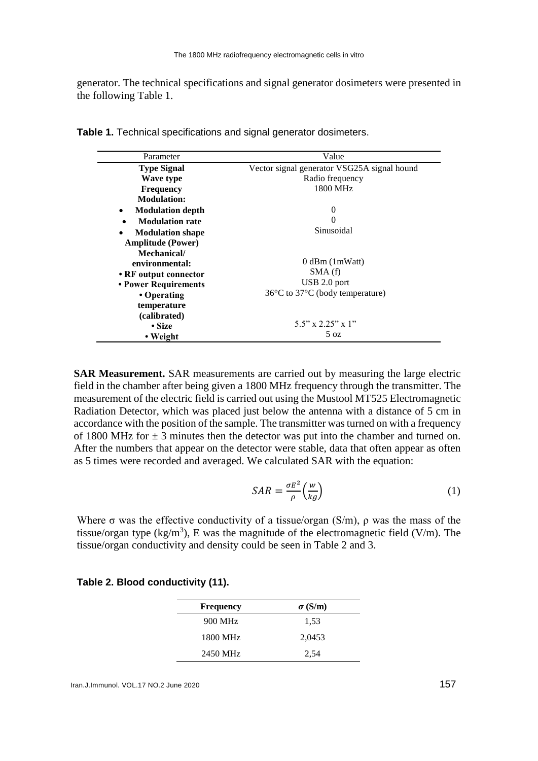generator. The technical specifications and signal generator dosimeters were presented in the following Table 1.

| Parameter                            | Value                                               |  |  |
|--------------------------------------|-----------------------------------------------------|--|--|
| <b>Type Signal</b>                   | Vector signal generator VSG25A signal hound         |  |  |
| Wave type                            | Radio frequency                                     |  |  |
| <b>Frequency</b>                     | 1800 MHz                                            |  |  |
| <b>Modulation:</b>                   |                                                     |  |  |
| <b>Modulation depth</b><br>$\bullet$ | 0                                                   |  |  |
| <b>Modulation rate</b><br>$\bullet$  |                                                     |  |  |
| <b>Modulation shape</b><br>$\bullet$ | Sinusoidal                                          |  |  |
| <b>Amplitude (Power)</b>             |                                                     |  |  |
| Mechanical/                          |                                                     |  |  |
| environmental:                       | $0$ dBm $(1mWatt)$                                  |  |  |
| • RF output connector                | SMA(f)                                              |  |  |
| • Power Requirements                 | $\text{USB } 2.0 \text{ port}$                      |  |  |
| • Operating                          | $36^{\circ}$ C to $37^{\circ}$ C (body temperature) |  |  |
| temperature                          |                                                     |  |  |
| (calibrated)                         |                                                     |  |  |
| • Size                               | $5.5$ " x $2.25$ " x 1"                             |  |  |
| • Weight                             | 5 oz                                                |  |  |

**Table 1.** Technical specifications and signal generator dosimeters.

**SAR Measurement.** SAR measurements are carried out by measuring the large electric field in the chamber after being given a 1800 MHz frequency through the transmitter. The measurement of the electric field is carried out using the Mustool MT525 Electromagnetic Radiation Detector, which was placed just below the antenna with a distance of 5 cm in accordance with the position of the sample. The transmitter was turned on with a frequency of 1800 MHz for  $\pm$  3 minutes then the detector was put into the chamber and turned on. After the numbers that appear on the detector were stable, data that often appear as often as 5 times were recorded and averaged. We calculated SAR with the equation:

$$
SAR = \frac{\sigma E^2}{\rho} \left(\frac{w}{kg}\right) \tag{1}
$$

Where  $\sigma$  was the effective conductivity of a tissue/organ (S/m),  $\rho$  was the mass of the tissue/organ type (kg/m<sup>3</sup>), E was the magnitude of the electromagnetic field (V/m). The tissue/organ conductivity and density could be seen in Table 2 and 3.

| <b>Frequency</b> | $\sigma$ (S/m) |
|------------------|----------------|
| 900 MHz          | 1,53           |
| 1800 MHz         | 2,0453         |
| 2450 MHz         | 2,54           |

## **Table 2. Blood conductivity (11).**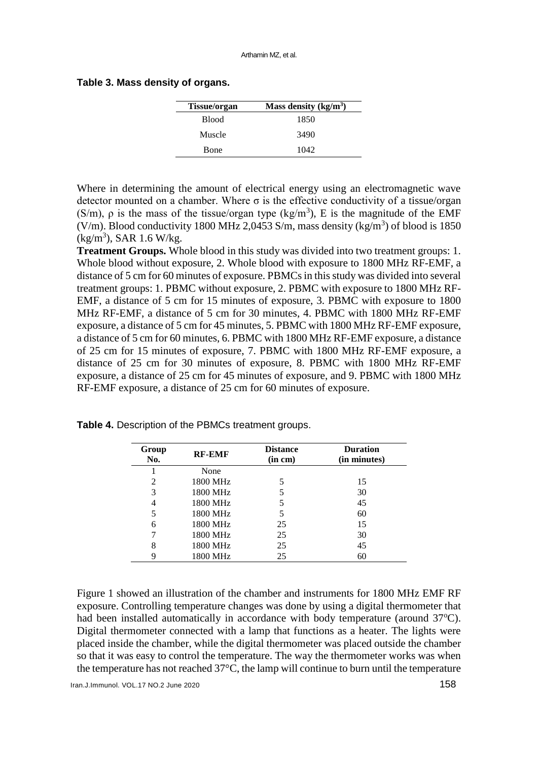#### **Table 3. Mass density of organs.**

| <b>Tissue/organ</b> | Mass density $(kg/m3)$ |
|---------------------|------------------------|
| <b>Blood</b>        | 1850                   |
| Muscle              | 3490                   |
| Bone                | 1042                   |

Where in determining the amount of electrical energy using an electromagnetic wave detector mounted on a chamber. Where  $\sigma$  is the effective conductivity of a tissue/organ (S/m),  $\rho$  is the mass of the tissue/organ type (kg/m<sup>3</sup>), E is the magnitude of the EMF (V/m). Blood conductivity 1800 MHz 2,0453 S/m, mass density (kg/m<sup>3</sup>) of blood is 1850  $(kg/m<sup>3</sup>)$ , SAR 1.6 W/kg.

**Treatment Groups.** Whole blood in this study was divided into two treatment groups: 1. Whole blood without exposure, 2. Whole blood with exposure to 1800 MHz RF-EMF, a distance of 5 cm for 60 minutes of exposure. PBMCs in this study was divided into several treatment groups: 1. PBMC without exposure, 2. PBMC with exposure to 1800 MHz RF-EMF, a distance of 5 cm for 15 minutes of exposure, 3. PBMC with exposure to 1800 MHz RF-EMF, a distance of 5 cm for 30 minutes, 4. PBMC with 1800 MHz RF-EMF exposure, a distance of 5 cm for 45 minutes, 5. PBMC with 1800 MHz RF-EMF exposure, a distance of 5 cm for 60 minutes, 6. PBMC with 1800 MHz RF-EMF exposure, a distance of 25 cm for 15 minutes of exposure, 7. PBMC with 1800 MHz RF-EMF exposure, a distance of 25 cm for 30 minutes of exposure, 8. PBMC with 1800 MHz RF-EMF exposure, a distance of 25 cm for 45 minutes of exposure, and 9. PBMC with 1800 MHz RF-EMF exposure, a distance of 25 cm for 60 minutes of exposure.

| Group<br>No. | <b>RF-EMF</b> | <b>Distance</b><br>(in cm) | <b>Duration</b><br>(in minutes) |
|--------------|---------------|----------------------------|---------------------------------|
|              | None          |                            |                                 |
| 2            | 1800 MHz      | 5                          | 15                              |
| 3            | 1800 MHz      | 5                          | 30                              |
| 4            | 1800 MHz      | 5                          | 45                              |
| 5            | 1800 MHz      | 5                          | 60                              |
| 6            | 1800 MHz      | 25                         | 15                              |
|              | 1800 MHz      | 25                         | 30                              |
| 8            | 1800 MHz      | 25                         | 45                              |
| 9            | 1800 MHz      | 25                         | 60                              |

**Table 4.** Description of the PBMCs treatment groups.

Figure 1 showed an illustration of the chamber and instruments for 1800 MHz EMF RF exposure. Controlling temperature changes was done by using a digital thermometer that had been installed automatically in accordance with body temperature (around  $37^{\circ}$ C). Digital thermometer connected with a lamp that functions as a heater. The lights were placed inside the chamber, while the digital thermometer was placed outside the chamber so that it was easy to control the temperature. The way the thermometer works was when the temperature has not reached 37°C, the lamp will continue to burn until the temperature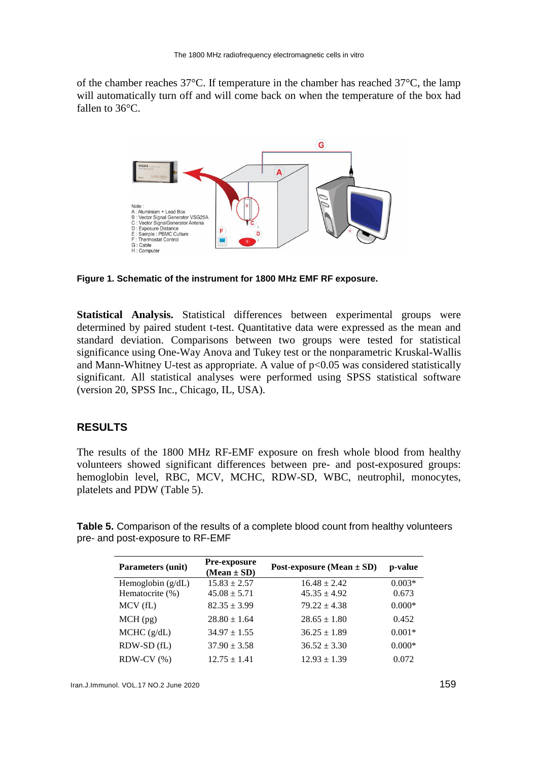of the chamber reaches 37°C. If temperature in the chamber has reached 37°C, the lamp will automatically turn off and will come back on when the temperature of the box had fallen to 36°C.



**Figure 1. Schematic of the instrument for 1800 MHz EMF RF exposure.**

**Statistical Analysis.** Statistical differences between experimental groups were determined by paired student t-test. Quantitative data were expressed as the mean and standard deviation. Comparisons between two groups were tested for statistical significance using One-Way Anova and Tukey test or the nonparametric Kruskal-Wallis and Mann-Whitney U-test as appropriate. A value of  $p<0.05$  was considered statistically significant. All statistical analyses were performed using SPSS statistical software (version 20, SPSS Inc., Chicago, IL, USA).

## **RESULTS**

The results of the 1800 MHz RF-EMF exposure on fresh whole blood from healthy volunteers showed significant differences between pre- and post-exposured groups: hemoglobin level, RBC, MCV, MCHC, RDW-SD, WBC, neutrophil, monocytes, platelets and PDW (Table 5).

**Table 5.** Comparison of the results of a complete blood count from healthy volunteers pre- and post-exposure to RF-EMF

| <b>Parameters (unit)</b> | Pre-exposure<br>$(Mean \pm SD)$ | Post-exposure (Mean $\pm$ SD) | p-value  |
|--------------------------|---------------------------------|-------------------------------|----------|
| Hemoglobin $(g/dL)$      | $15.83 \pm 2.57$                | $16.48 \pm 2.42$              | $0.003*$ |
| Hematocrite (%)          | $45.08 \pm 5.71$                | $45.35 \pm 4.92$              | 0.673    |
| MCV(fL)                  | $82.35 \pm 3.99$                | $79.22 \pm 4.38$              | $0.000*$ |
| $MCH$ (pg)               | $28.80 \pm 1.64$                | $28.65 \pm 1.80$              | 0.452    |
| MCHC (g/dL)              | $34.97 \pm 1.55$                | $36.25 \pm 1.89$              | $0.001*$ |
| RDW-SD (fL)              | $37.90 \pm 3.58$                | $36.52 \pm 3.30$              | $0.000*$ |
| $RDW-CV (%)$             | $12.75 \pm 1.41$                | $12.93 \pm 1.39$              | 0.072    |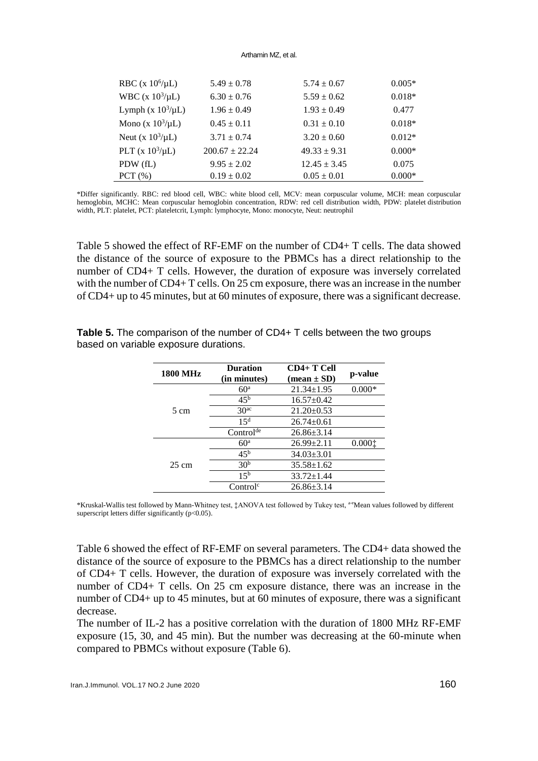#### Arthamin MZ, et al.

| RBC (x $10^6/\mu L$ )        | $5.49 \pm 0.78$    | $5.74 \pm 0.67$  | $0.005*$ |
|------------------------------|--------------------|------------------|----------|
| <b>WBC</b> (x $10^3/\mu L$ ) | $6.30 \pm 0.76$    | $5.59 \pm 0.62$  | $0.018*$ |
| Lymph (x $10^3/\mu L$ )      | $1.96 \pm 0.49$    | $1.93 \pm 0.49$  | 0.477    |
| Mono (x $10^3/\mu L$ )       | $0.45 \pm 0.11$    | $0.31 \pm 0.10$  | $0.018*$ |
| Neut (x $10^3/\mu L$ )       | $3.71 \pm 0.74$    | $3.20 \pm 0.60$  | $0.012*$ |
| PLT (x $10^3/\mu L$ )        | $200.67 \pm 22.24$ | $49.33 \pm 9.31$ | $0.000*$ |
| PDW (fL)                     | $9.95 \pm 2.02$    | $12.45 \pm 3.45$ | 0.075    |
| PCT $(\% )$                  | $0.19 \pm 0.02$    | $0.05 \pm 0.01$  | $0.000*$ |

\*Differ significantly. RBC: red blood cell, WBC: white blood cell, MCV: mean corpuscular volume, MCH: mean corpuscular hemoglobin, MCHC: Mean corpuscular hemoglobin concentration, RDW: red cell distribution width, PDW: platelet distribution width, PLT: platelet, PCT: plateletcrit, Lymph: lymphocyte, Mono: monocyte, Neut: neutrophil

Table 5 showed the effect of RF-EMF on the number of CD4+ T cells. The data showed the distance of the source of exposure to the PBMCs has a direct relationship to the number of CD4+ T cells. However, the duration of exposure was inversely correlated with the number of CD4+ T cells. On 25 cm exposure, there was an increase in the number of CD4+ up to 45 minutes, but at 60 minutes of exposure, there was a significant decrease.

| <b>1800 MHz</b> | <b>Duration</b>       | $CD4+T$ Cell                  |          |  |
|-----------------|-----------------------|-------------------------------|----------|--|
|                 | (in minutes)          | $(\text{mean} \pm \text{SD})$ | p-value  |  |
|                 | 60 <sup>a</sup>       | $21.34 \pm 1.95$              | $0.000*$ |  |
|                 | $45^{\rm b}$          | $16.57 \pm 0.42$              |          |  |
| 5 cm            | 30 <sup>ac</sup>      | $21.20 \pm 0.53$              |          |  |
|                 | 15 <sup>d</sup>       | $26.74 \pm 0.61$              |          |  |
|                 | Control <sup>de</sup> | $26.86 \pm 3.14$              |          |  |
|                 | 60 <sup>a</sup>       | $26.99 \pm 2.11$              | 0.0001   |  |
| $25 \text{ cm}$ | 45 <sup>b</sup>       | $34.03 \pm 3.01$              |          |  |
|                 | 30 <sup>b</sup>       | $35.58 \pm 1.62$              |          |  |
|                 | 15 <sup>b</sup>       | $33.72 \pm 1.44$              |          |  |
|                 | Control <sup>c</sup>  | $26.86 \pm 3.14$              |          |  |

**Table 5.** The comparison of the number of CD4+ T cells between the two groups based on variable exposure durations.

\*Kruskal-Wallis test followed by Mann-Whitney test, ‡ANOVA test followed by Tukey test, a-eMean values followed by different superscript letters differ significantly (p<0.05).

Table 6 showed the effect of RF-EMF on several parameters. The CD4+ data showed the distance of the source of exposure to the PBMCs has a direct relationship to the number of CD4+ T cells. However, the duration of exposure was inversely correlated with the number of CD4+ T cells. On 25 cm exposure distance, there was an increase in the number of CD4+ up to 45 minutes, but at 60 minutes of exposure, there was a significant decrease.

The number of IL-2 has a positive correlation with the duration of 1800 MHz RF-EMF exposure (15, 30, and 45 min). But the number was decreasing at the 60-minute when compared to PBMCs without exposure (Table 6).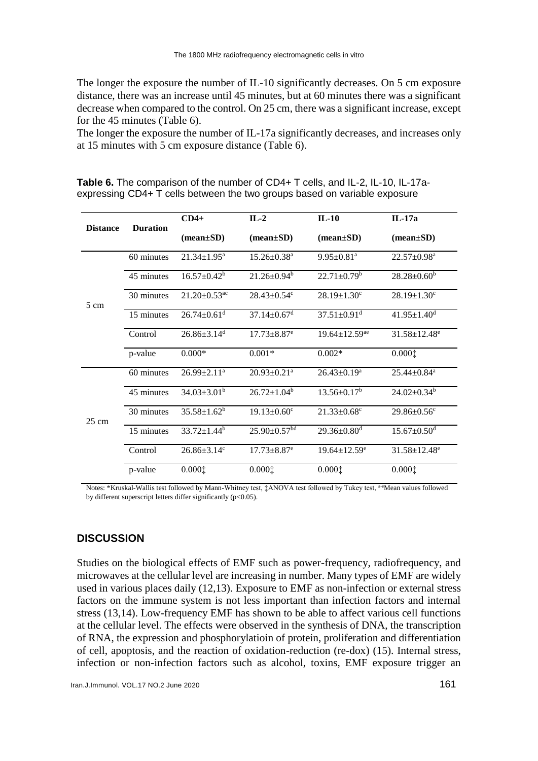The longer the exposure the number of IL-10 significantly decreases. On 5 cm exposure distance, there was an increase until 45 minutes, but at 60 minutes there was a significant decrease when compared to the control. On 25 cm, there was a significant increase, except for the 45 minutes (Table 6).

The longer the exposure the number of IL-17a significantly decreases, and increases only at 15 minutes with 5 cm exposure distance (Table 6).

| <b>Distance</b> | <b>Duration</b> | $CD4+$                         | $IL-2$                         | $IL-10$                         | $IL-17a$                       |
|-----------------|-----------------|--------------------------------|--------------------------------|---------------------------------|--------------------------------|
|                 |                 | $(mean \pm SD)$                | $(mean \pm SD)$                | $(mean \pm SD)$                 | $(mean \pm SD)$                |
| $5 \text{ cm}$  | 60 minutes      | $21.34 \pm 1.95^a$             | $15.26 \pm 0.38$ <sup>a</sup>  | $9.95 \pm 0.81$ <sup>a</sup>    | $22.57 \pm 0.98^a$             |
|                 | 45 minutes      | $16.57 \pm 0.42^b$             | $21.26 \pm 0.94^b$             | $22.71 \pm 0.79^b$              | $28.28 \pm 0.60^b$             |
|                 | 30 minutes      | $21.20 \pm 0.53$ <sup>ac</sup> | $28.43 \pm 0.54$ <sup>c</sup>  | $28.19 \pm 1.30^{\circ}$        | $28.19 \pm 1.30^{\circ}$       |
|                 | 15 minutes      | $26.74 \pm 0.61$ <sup>d</sup>  | $37.14 \pm 0.67$ <sup>d</sup>  | $37.51 \pm 0.91$ <sup>d</sup>   | $41.95 \pm 1.40$ <sup>d</sup>  |
|                 | Control         | $26.86 \pm 3.14$ <sup>d</sup>  | $17.73 \pm 8.87$ <sup>e</sup>  | $19.64 \pm 12.59$ <sup>ae</sup> | $31.58 \pm 12.48$ <sup>e</sup> |
|                 | p-value         | $0.000*$                       | $0.001*$                       | $0.002*$                        | 0.0001                         |
| $25 \text{ cm}$ | 60 minutes      | $26.99 \pm 2.11$ <sup>a</sup>  | $20.93 \pm 0.21$ <sup>a</sup>  | $26.43 \pm 0.19^a$              | $25.44 \pm 0.84$ <sup>a</sup>  |
|                 | 45 minutes      | $34.03 \pm 3.01^b$             | $26.72 \pm 1.04^b$             | $13.56 \pm 0.17^b$              | $24.02 \pm 0.34$ <sup>b</sup>  |
|                 | 30 minutes      | $35.58 \pm 1.62^b$             | $19.13 \pm 0.60$ <sup>c</sup>  | $21.33 \pm 0.68$ <sup>c</sup>   | $29.86 \pm 0.56$ <sup>c</sup>  |
|                 | 15 minutes      | $33.72 \pm 1.44^b$             | $25.90 \pm 0.57$ <sup>bd</sup> | $29.36 \pm 0.80$ <sup>d</sup>   | $15.67 \pm 0.50$ <sup>d</sup>  |
|                 | Control         | $26.86 \pm 3.14$ °             | $17.73 \pm 8.87$ <sup>e</sup>  | $19.64 \pm 12.59$ <sup>e</sup>  | $31.58 \pm 12.48$ <sup>e</sup> |
|                 | p-value         | 0.0001                         | 0.0001                         | 0.0001                          | 0.0001                         |

**Table 6.** The comparison of the number of CD4+ T cells, and IL-2, IL-10, IL-17aexpressing CD4+ T cells between the two groups based on variable exposure

Notes: \*Kruskal-Wallis test followed by Mann-Whitney test, ‡ANOVA test followed by Tukey test, a-eMean values followed by different superscript letters differ significantly (p<0.05).

## **DISCUSSION**

Studies on the biological effects of EMF such as power-frequency, radiofrequency, and microwaves at the cellular level are increasing in number. Many types of EMF are widely used in various places daily (12,13). Exposure to EMF as non-infection or external stress factors on the immune system is not less important than infection factors and internal stress (13,14). Low-frequency EMF has shown to be able to affect various cell functions at the cellular level. The effects were observed in the synthesis of DNA, the transcription of RNA, the expression and phosphorylatioin of protein, proliferation and differentiation of cell, apoptosis, and the reaction of oxidation-reduction (re-dox) (15). Internal stress, infection or non-infection factors such as alcohol, toxins, EMF exposure trigger an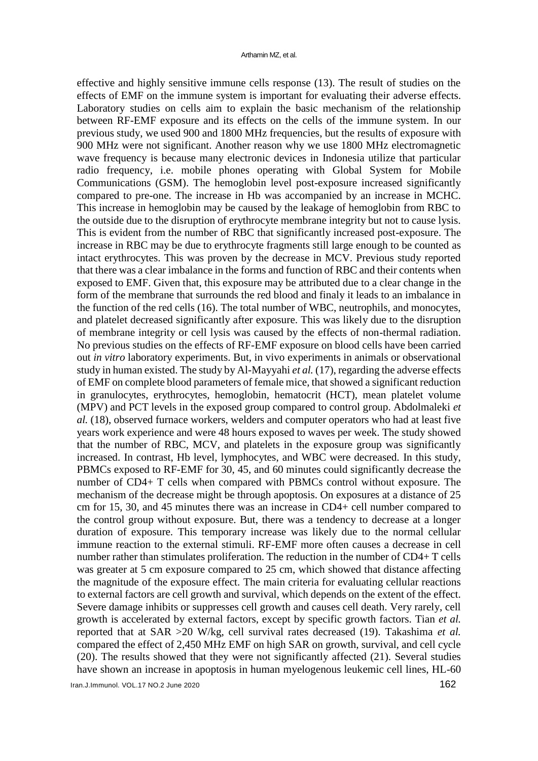effective and highly sensitive immune cells response (13). The result of studies on the effects of EMF on the immune system is important for evaluating their adverse effects. Laboratory studies on cells aim to explain the basic mechanism of the relationship between RF-EMF exposure and its effects on the cells of the immune system. In our previous study, we used 900 and 1800 MHz frequencies, but the results of exposure with 900 MHz were not significant. Another reason why we use 1800 MHz electromagnetic wave frequency is because many electronic devices in Indonesia utilize that particular radio frequency, i.e. mobile phones operating with Global System for Mobile Communications (GSM). The hemoglobin level post-exposure increased significantly compared to pre-one. The increase in Hb was accompanied by an increase in MCHC. This increase in hemoglobin may be caused by the leakage of hemoglobin from RBC to the outside due to the disruption of erythrocyte membrane integrity but not to cause lysis. This is evident from the number of RBC that significantly increased post-exposure. The increase in RBC may be due to erythrocyte fragments still large enough to be counted as intact erythrocytes. This was proven by the decrease in MCV. Previous study reported that there was a clear imbalance in the forms and function of RBC and their contents when exposed to EMF. Given that, this exposure may be attributed due to a clear change in the form of the membrane that surrounds the red blood and finaly it leads to an imbalance in the function of the red cells (16). The total number of WBC, neutrophils, and monocytes, and platelet decreased significantly after exposure. This was likely due to the disruption of membrane integrity or cell lysis was caused by the effects of non-thermal radiation. No previous studies on the effects of RF-EMF exposure on blood cells have been carried out *in vitro* laboratory experiments. But, in vivo experiments in animals or observational study in human existed. The study by Al-Mayyahi *et al.* (17), regarding the adverse effects of EMF on complete blood parameters of female mice, that showed a significant reduction in granulocytes, erythrocytes, hemoglobin, hematocrit (HCT), mean platelet volume (MPV) and PCT levels in the exposed group compared to control group. Abdolmaleki *et al.* (18), observed furnace workers, welders and computer operators who had at least five years work experience and were 48 hours exposed to waves per week. The study showed that the number of RBC, MCV, and platelets in the exposure group was significantly increased. In contrast, Hb level, lymphocytes, and WBC were decreased. In this study, PBMCs exposed to RF-EMF for 30, 45, and 60 minutes could significantly decrease the number of CD4+ T cells when compared with PBMCs control without exposure. The mechanism of the decrease might be through apoptosis. On exposures at a distance of 25 cm for 15, 30, and 45 minutes there was an increase in CD4+ cell number compared to the control group without exposure. But, there was a tendency to decrease at a longer duration of exposure. This temporary increase was likely due to the normal cellular immune reaction to the external stimuli. RF-EMF more often causes a decrease in cell number rather than stimulates proliferation. The reduction in the number of CD4+ T cells was greater at 5 cm exposure compared to 25 cm, which showed that distance affecting the magnitude of the exposure effect. The main criteria for evaluating cellular reactions to external factors are cell growth and survival, which depends on the extent of the effect. Severe damage inhibits or suppresses cell growth and causes cell death. Very rarely, cell growth is accelerated by external factors, except by specific growth factors. Tian *et al.* reported that at SAR >20 W/kg, cell survival rates decreased (19). Takashima *et al.* compared the effect of 2,450 MHz EMF on high SAR on growth, survival, and cell cycle (20). The results showed that they were not significantly affected (21). Several studies have shown an increase in apoptosis in human myelogenous leukemic cell lines, HL-60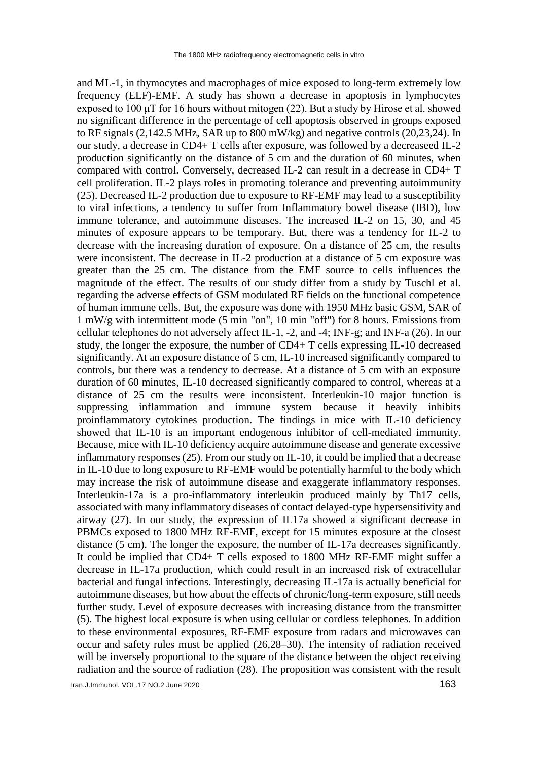and ML-1, in thymocytes and macrophages of mice exposed to long-term extremely low frequency (ELF)-EMF. A study has shown a decrease in apoptosis in lymphocytes exposed to  $100 \mu$ T for 16 hours without mitogen (22). But a study by Hirose et al. showed no significant difference in the percentage of cell apoptosis observed in groups exposed to RF signals (2,142.5 MHz, SAR up to 800 mW/kg) and negative controls (20,23,24). In our study, a decrease in CD4+ T cells after exposure, was followed by a decreaseed IL-2 production significantly on the distance of 5 cm and the duration of 60 minutes, when compared with control. Conversely, decreased IL-2 can result in a decrease in CD4+ T cell proliferation. IL-2 plays roles in promoting tolerance and preventing autoimmunity (25). Decreased IL-2 production due to exposure to RF-EMF may lead to a susceptibility to viral infections, a tendency to suffer from Inflammatory bowel disease (IBD), low immune tolerance, and autoimmune diseases. The increased IL-2 on 15, 30, and 45 minutes of exposure appears to be temporary. But, there was a tendency for IL-2 to decrease with the increasing duration of exposure. On a distance of 25 cm, the results were inconsistent. The decrease in IL-2 production at a distance of 5 cm exposure was greater than the 25 cm. The distance from the EMF source to cells influences the magnitude of the effect. The results of our study differ from a study by Tuschl et al. regarding the adverse effects of GSM modulated RF fields on the functional competence of human immune cells. But, the exposure was done with 1950 MHz basic GSM, SAR of 1 mW/g with intermittent mode (5 min "on", 10 min "off") for 8 hours. Emissions from cellular telephones do not adversely affect IL-1, -2, and -4; INF-g; and INF-a (26). In our study, the longer the exposure, the number of CD4+ T cells expressing IL-10 decreased significantly. At an exposure distance of 5 cm, IL-10 increased significantly compared to controls, but there was a tendency to decrease. At a distance of 5 cm with an exposure duration of 60 minutes, IL-10 decreased significantly compared to control, whereas at a distance of 25 cm the results were inconsistent. Interleukin-10 major function is suppressing inflammation and immune system because it heavily inhibits proinflammatory cytokines production. The findings in mice with IL-10 deficiency showed that IL-10 is an important endogenous inhibitor of cell-mediated immunity. Because, mice with IL-10 deficiency acquire autoimmune disease and generate excessive inflammatory responses (25). From our study on IL-10, it could be implied that a decrease in IL-10 due to long exposure to RF-EMF would be potentially harmful to the body which may increase the risk of autoimmune disease and exaggerate inflammatory responses. Interleukin-17a is a pro-inflammatory interleukin produced mainly by Th17 cells, associated with many inflammatory diseases of contact delayed-type hypersensitivity and airway (27). In our study, the expression of IL17a showed a significant decrease in PBMCs exposed to 1800 MHz RF-EMF, except for 15 minutes exposure at the closest distance (5 cm). The longer the exposure, the number of IL-17a decreases significantly. It could be implied that CD4+ T cells exposed to 1800 MHz RF-EMF might suffer a decrease in IL-17a production, which could result in an increased risk of extracellular bacterial and fungal infections. Interestingly, decreasing IL-17a is actually beneficial for autoimmune diseases, but how about the effects of chronic/long-term exposure, still needs further study. Level of exposure decreases with increasing distance from the transmitter (5). The highest local exposure is when using cellular or cordless telephones. In addition to these environmental exposures, RF-EMF exposure from radars and microwaves can occur and safety rules must be applied (26,28–30). The intensity of radiation received will be inversely proportional to the square of the distance between the object receiving radiation and the source of radiation (28). The proposition was consistent with the result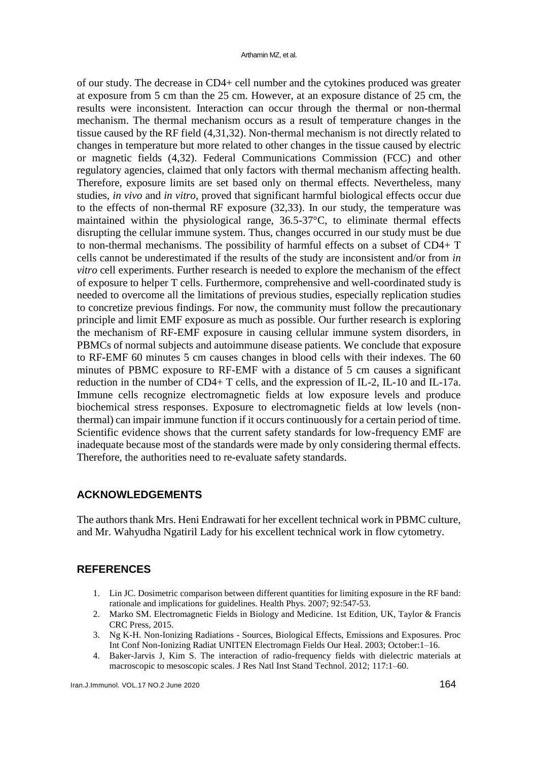of our study. The decrease in CD4+ cell number and the cytokines produced was greater at exposure from 5 cm than the 25 cm. However, at an exposure distance of 25 cm, the results were inconsistent. Interaction can occur through the thermal or non-thermal mechanism. The thermal mechanism occurs as a result of temperature changes in the tissue caused by the RF field (4,31,32). Non-thermal mechanism is not directly related to changes in temperature but more related to other changes in the tissue caused by electric or magnetic fields (4,32). Federal Communications Commission (FCC) and other regulatory agencies, claimed that only factors with thermal mechanism affecting health. Therefore, exposure limits are set based only on thermal effects. Nevertheless, many studies, *in vivo* and *in vitro*, proved that significant harmful biological effects occur due to the effects of non-thermal RF exposure (32,33). In our study, the temperature was maintained within the physiological range, 36.5-37°C, to eliminate thermal effects disrupting the cellular immune system. Thus, changes occurred in our study must be due to non-thermal mechanisms. The possibility of harmful effects on a subset of CD4+ T cells cannot be underestimated if the results of the study are inconsistent and/or from *in vitro* cell experiments. Further research is needed to explore the mechanism of the effect of exposure to helper T cells. Furthermore, comprehensive and well-coordinated study is needed to overcome all the limitations of previous studies, especially replication studies to concretize previous findings. For now, the community must follow the precautionary principle and limit EMF exposure as much as possible. Our further research is exploring the mechanism of RF-EMF exposure in causing cellular immune system disorders, in PBMCs of normal subjects and autoimmune disease patients. We conclude that exposure to RF-EMF 60 minutes 5 cm causes changes in blood cells with their indexes. The 60 minutes of PBMC exposure to RF-EMF with a distance of 5 cm causes a significant reduction in the number of CD4+ T cells, and the expression of IL-2, IL-10 and IL-17a. Immune cells recognize electromagnetic fields at low exposure levels and produce biochemical stress responses. Exposure to electromagnetic fields at low levels (nonthermal) can impair immune function if it occurs continuously for a certain period of time. Scientific evidence shows that the current safety standards for low-frequency EMF are inadequate because most of the standards were made by only considering thermal effects. Therefore, the authorities need to re-evaluate safety standards.

#### **ACKNOWLEDGEMENTS**

The authors thank Mrs. Heni Endrawati for her excellent technical work in PBMC culture, and Mr. Wahyudha Ngatiril Lady for his excellent technical work in flow cytometry.

## **REFERENCES**

- 1. Lin JC. Dosimetric comparison between different quantities for limiting exposure in the RF band: rationale and implications for guidelines. Health Phys. 2007; 92:547-53.
- 2. Marko SM. Electromagnetic Fields in Biology and Medicine. 1st Edition, UK, Taylor & Francis CRC Press, 2015.
- 3. Ng K-H. Non-Ionizing Radiations Sources, Biological Effects, Emissions and Exposures. Proc Int Conf Non-Ionizing Radiat UNITEN Electromagn Fields Our Heal. 2003; October:1–16.
- 4. Baker-Jarvis J, Kim S. The interaction of radio-frequency fields with dielectric materials at macroscopic to mesoscopic scales. J Res Natl Inst Stand Technol. 2012; 117:1–60.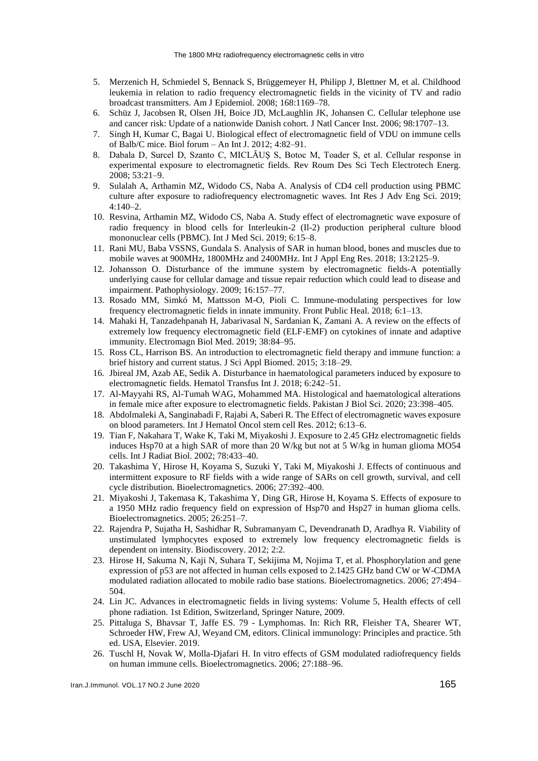- 5. Merzenich H, Schmiedel S, Bennack S, Brüggemeyer H, Philipp J, Blettner M, et al. Childhood leukemia in relation to radio frequency electromagnetic fields in the vicinity of TV and radio broadcast transmitters. Am J Epidemiol. 2008; 168:1169–78.
- 6. Schüz J, Jacobsen R, Olsen JH, Boice JD, McLaughlin JK, Johansen C. Cellular telephone use and cancer risk: Update of a nationwide Danish cohort. J Natl Cancer Inst. 2006; 98:1707–13.
- 7. Singh H, Kumar C, Bagai U. Biological effect of electromagnetic field of VDU on immune cells of Balb/C mice. Biol forum – An Int J. 2012; 4:82–91.
- 8. Dabala D, Surcel D, Szanto C, MICLĂUŞ S, Botoc M, Toader S, et al. Cellular response in experimental exposure to electromagnetic fields. Rev Roum Des Sci Tech Electrotech Energ. 2008; 53:21–9.
- 9. Sulalah A, Arthamin MZ, Widodo CS, Naba A. Analysis of CD4 cell production using PBMC culture after exposure to radiofrequency electromagnetic waves. Int Res J Adv Eng Sci. 2019; 4:140–2.
- 10. Resvina, Arthamin MZ, Widodo CS, Naba A. Study effect of electromagnetic wave exposure of radio frequency in blood cells for Interleukin-2 (Il-2) production peripheral culture blood mononuclear cells (PBMC). Int J Med Sci. 2019; 6:15–8.
- 11. Rani MU, Baba VSSNS, Gundala S. Analysis of SAR in human blood, bones and muscles due to mobile waves at 900MHz, 1800MHz and 2400MHz. Int J Appl Eng Res. 2018; 13:2125–9.
- 12. Johansson O. Disturbance of the immune system by electromagnetic fields-A potentially underlying cause for cellular damage and tissue repair reduction which could lead to disease and impairment. Pathophysiology. 2009; 16:157–77.
- 13. Rosado MM, Simkó M, Mattsson M-O, Pioli C. Immune-modulating perspectives for low frequency electromagnetic fields in innate immunity. Front Public Heal. 2018; 6:1–13.
- 14. Mahaki H, Tanzadehpanah H, Jabarivasal N, Sardanian K, Zamani A. A review on the effects of extremely low frequency electromagnetic field (ELF-EMF) on cytokines of innate and adaptive immunity. Electromagn Biol Med. 2019; 38:84–95.
- 15. Ross CL, Harrison BS. An introduction to electromagnetic field therapy and immune function: a brief history and current status. J Sci Appl Biomed. 2015; 3:18–29.
- 16. Jbireal JM, Azab AE, Sedik A. Disturbance in haematological parameters induced by exposure to electromagnetic fields. Hematol Transfus Int J. 2018; 6:242–51.
- 17. Al-Mayyahi RS, Al-Tumah WAG, Mohammed MA. Histological and haematological alterations in female mice after exposure to electromagnetic fields. Pakistan J Biol Sci. 2020; 23:398–405.
- 18. Abdolmaleki A, Sanginabadi F, Rajabi A, Saberi R. The Effect of electromagnetic waves exposure on blood parameters. Int J Hematol Oncol stem cell Res. 2012; 6:13–6.
- 19. Tian F, Nakahara T, Wake K, Taki M, Miyakoshi J. Exposure to 2.45 GHz electromagnetic fields induces Hsp70 at a high SAR of more than 20 W/kg but not at 5 W/kg in human glioma MO54 cells. Int J Radiat Biol. 2002; 78:433–40.
- 20. Takashima Y, Hirose H, Koyama S, Suzuki Y, Taki M, Miyakoshi J. Effects of continuous and intermittent exposure to RF fields with a wide range of SARs on cell growth, survival, and cell cycle distribution. Bioelectromagnetics. 2006; 27:392–400.
- 21. Miyakoshi J, Takemasa K, Takashima Y, Ding GR, Hirose H, Koyama S. Effects of exposure to a 1950 MHz radio frequency field on expression of Hsp70 and Hsp27 in human glioma cells. Bioelectromagnetics. 2005; 26:251–7.
- 22. Rajendra P, Sujatha H, Sashidhar R, Subramanyam C, Devendranath D, Aradhya R. Viability of unstimulated lymphocytes exposed to extremely low frequency electromagnetic fields is dependent on intensity. Biodiscovery. 2012; 2:2.
- 23. Hirose H, Sakuma N, Kaji N, Suhara T, Sekijima M, Nojima T, et al. Phosphorylation and gene expression of p53 are not affected in human cells exposed to 2.1425 GHz band CW or W-CDMA modulated radiation allocated to mobile radio base stations. Bioelectromagnetics. 2006; 27:494– 504.
- 24. Lin JC. Advances in electromagnetic fields in living systems: Volume 5, Health effects of cell phone radiation. 1st Edition, Switzerland, Springer Nature, 2009.
- 25. Pittaluga S, Bhavsar T, Jaffe ES. 79 Lymphomas. In: Rich RR, Fleisher TA, Shearer WT, Schroeder HW, Frew AJ, Weyand CM, editors. Clinical immunology: Principles and practice. 5th ed. USA, Elsevier. 2019.
- 26. Tuschl H, Novak W, Molla-Djafari H. In vitro effects of GSM modulated radiofrequency fields on human immune cells. Bioelectromagnetics. 2006; 27:188–96.